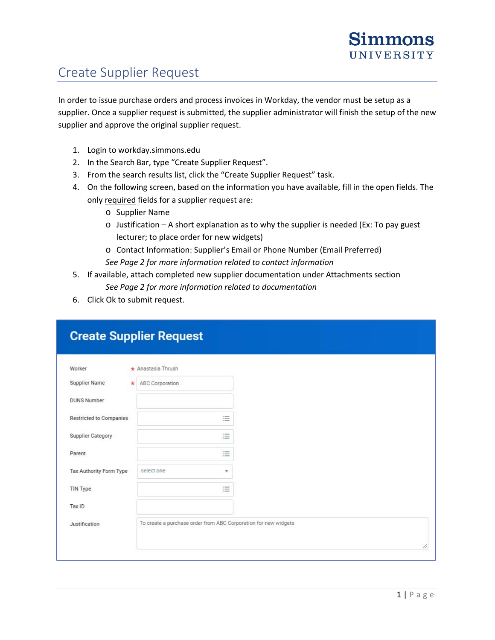## Create Supplier Request

In order to issue purchase orders and process invoices in Workday, the vendor must be setup as a supplier. Once a supplier request is submitted, the supplier administrator will finish the setup of the new supplier and approve the original supplier request.

- 1. Login to workday.simmons.edu
- 2. In the Search Bar, type "Create Supplier Request".
- 3. From the search results list, click the "Create Supplier Request" task.
- 4. On the following screen, based on the information you have available, fill in the open fields. The only required fields for a supplier request are:
	- o Supplier Name
	- $\circ$  Justification A short explanation as to why the supplier is needed (Ex: To pay guest lecturer; to place order for new widgets)
	- o Contact Information: Supplier's Email or Phone Number (Email Preferred) *See Page 2 for more information related to contact information*
- 5. If available, attach completed new supplier documentation under Attachments section *See Page 2 for more information related to documentation*
- 6. Click Ok to submit request.

| Worker                         | $\star$ Anastasia Thrush   |                                                                 |
|--------------------------------|----------------------------|-----------------------------------------------------------------|
| Supplier Name                  | ABC Corporation<br>$\star$ |                                                                 |
| <b>DUNS Number</b>             |                            |                                                                 |
| <b>Restricted to Companies</b> |                            | 這                                                               |
| Supplier Category              |                            | 這                                                               |
| Parent                         |                            | 這                                                               |
| Tax Authority Form Type        | select one                 | v                                                               |
| TIN Type                       |                            | 三                                                               |
| Tax ID                         |                            |                                                                 |
| Justification                  |                            | To create a purchase order from ABC Corporation for new widgets |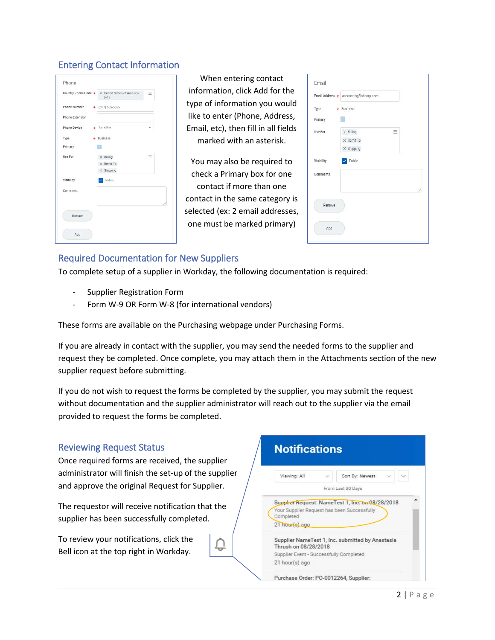## Entering Contact Information

| Country Phone Code * | X United States of America<br>$(+1)$ | 這  |
|----------------------|--------------------------------------|----|
| Phone Number         | $(617) 555 - 5555$<br>$\star$        |    |
| Phone Extension      |                                      |    |
| Phone Device         | Landline<br>$\star$                  | ÷  |
| Type                 | <b>Business</b><br>÷                 |    |
| Primary              | v.                                   |    |
| Use For              | $\times$ Billing                     | 這  |
|                      | $\times$ Remit To                    |    |
|                      | $\times$ Shipping                    |    |
| Visibility           | $\vee$ Public                        |    |
| Comments             |                                      |    |
|                      |                                      | 1, |
| Remove               |                                      |    |
| Add                  |                                      |    |

When entering contact information, click Add for the type of information you would like to enter (Phone, Address, Email, etc), then fill in all fields marked with an asterisk.

You may also be required to check a Primary box for one contact if more than one contact in the same category is selected (ex: 2 email addresses, one must be marked primary)

|            | Email Address * accounting@abcorp.com |   |
|------------|---------------------------------------|---|
|            |                                       |   |
| Type       | $\star$ Business                      |   |
| Primary    | $\vert x \vert$                       |   |
| Use For    | 這<br>$\times$ Billing                 |   |
|            | X Remit To                            |   |
|            | $\times$ Shipping                     |   |
| Visibility | $\triangleright$ Public               |   |
| Comments   |                                       |   |
|            |                                       | h |
| Remove     |                                       |   |
|            |                                       |   |
|            |                                       |   |

## Required Documentation for New Suppliers

To complete setup of a supplier in Workday, the following documentation is required:

- Supplier Registration Form
- Form W-9 OR Form W-8 (for international vendors)

These forms are available on the Purchasing webpage under Purchasing Forms.

If you are already in contact with the supplier, you may send the needed forms to the supplier and request they be completed. Once complete, you may attach them in the Attachments section of the new supplier request before submitting.

If you do not wish to request the forms be completed by the supplier, you may submit the request without documentation and the supplier administrator will reach out to the supplier via the email provided to request the forms be completed.

₽

## Reviewing Request Status

Once required forms are received, the supplier administrator will finish the set-up of the supplier and approve the original Request for Supplier.

The requestor will receive notification that the supplier has been successfully completed.

To review your notifications, click the Bell icon at the top right in Workday.

| Viewing: All         | Ù. | Sort By: Newest                                                                                 |  |
|----------------------|----|-------------------------------------------------------------------------------------------------|--|
|                      |    | From Last 30 Days                                                                               |  |
| Completed            |    | Supplier Request: NameTest 1, Inc. on 08/28/2018<br>Your Supplier Request has been Successfully |  |
| 21 hour(s) ago       |    |                                                                                                 |  |
| Thrush on 08/28/2018 |    | Supplier NameTest 1, Inc. submitted by Anastasia                                                |  |